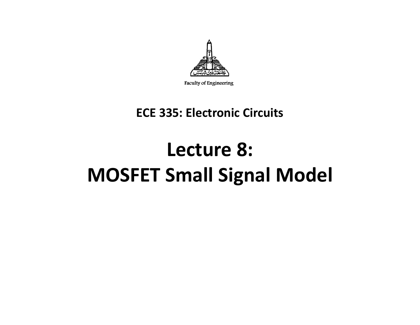

Faculty of Engineering

#### **ECE 335: Electronic Circuits**

# **Lecture 8: MOSFET Small Signal Model**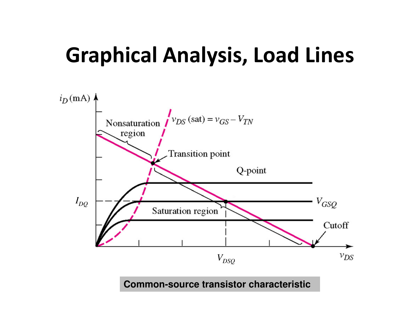# **Graphical Analysis, Load Lines**



#### **Common-source transistor characteristic**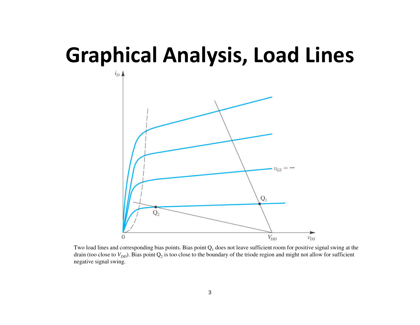## **Graphical Analysis, Load Lines**



Two load lines and corresponding bias points. Bias point  $Q_1$  does not leave sufficient room for positive signal swing at the drain (too close to  $V_{DD}$ ). Bias point  $Q_2$  is too close to the boundary of the triode region and might not allow for sufficient negative signal swing.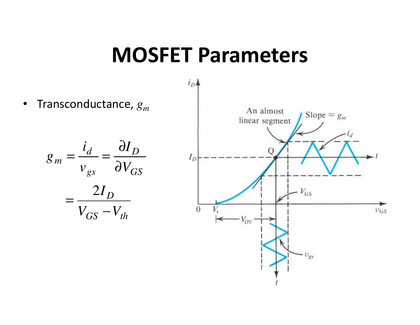### **MOSFET Parameters**

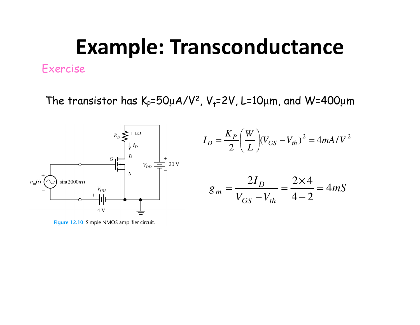#### Exercise**Example: Transconductance**

The transistor has  $K_p=50\mu A/V^2$ ,  $V_t=2V$ , L=10 $\mu$ m, and W=400 $\mu$ m



Figure 12.10 Simple NMOS amplifier circuit.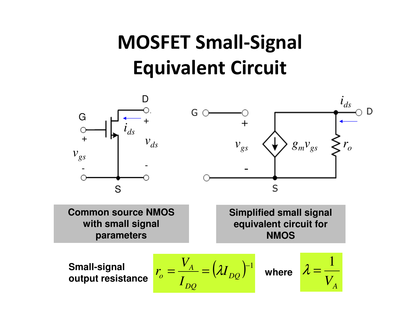## **MOSFET Small-Signal Equivalent Circuit**

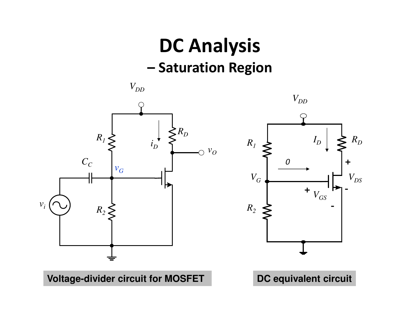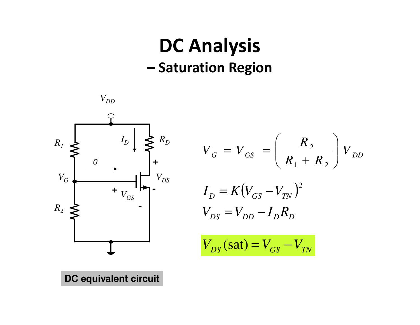#### **DC Analysis– Saturation Region**



$$
V_G = V_{GS} = \left(\frac{R_2}{R_1 + R_2}\right) V_{DD}
$$
  
\n
$$
I_D = K(V_{GS} - V_{TN})^2
$$
  
\n
$$
V_{DS} = V_{DD} - I_D R_D
$$
  
\n
$$
V_{DS} \text{(sat)} = V_{GS} - V_{TN}
$$

**DC equivalent circuit**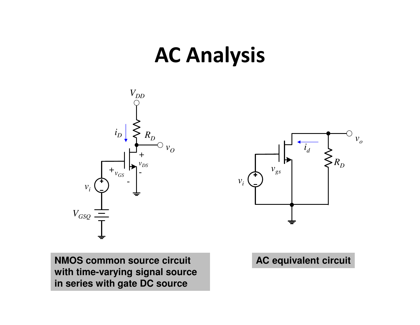## **AC Analysis**



**NMOS common source circuit with time-varying signal source in series with gate DC source**



#### **AC equivalent circuit**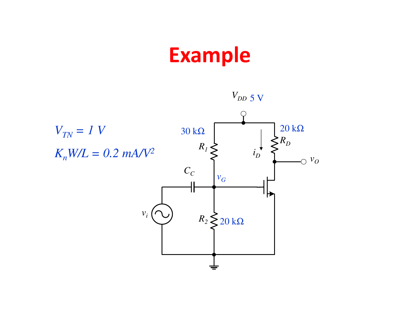# **Example**